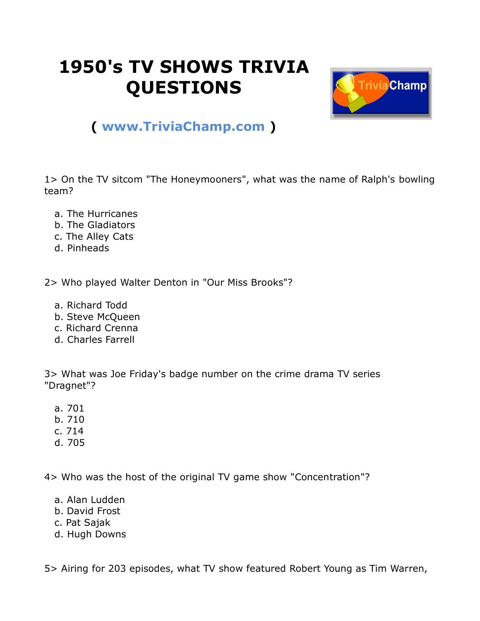## **1950's TV SHOWS TRIVIA QUESTIONS**



## **( [www.TriviaChamp.com](http://www.triviachamp.com/) )**

1> On the TV sitcom "The Honeymooners", what was the name of Ralph's bowling team?

- a. The Hurricanes
- b. The Gladiators
- c. The Alley Cats
- d. Pinheads

2> Who played Walter Denton in "Our Miss Brooks"?

- a. Richard Todd
- b. Steve McQueen
- c. Richard Crenna
- d. Charles Farrell

3> What was Joe Friday's badge number on the crime drama TV series "Dragnet"?

- a. 701
- b. 710
- c. 714
- d. 705

4> Who was the host of the original TV game show "Concentration"?

- a. Alan Ludden
- b. David Frost
- c. Pat Sajak
- d. Hugh Downs

5> Airing for 203 episodes, what TV show featured Robert Young as Tim Warren,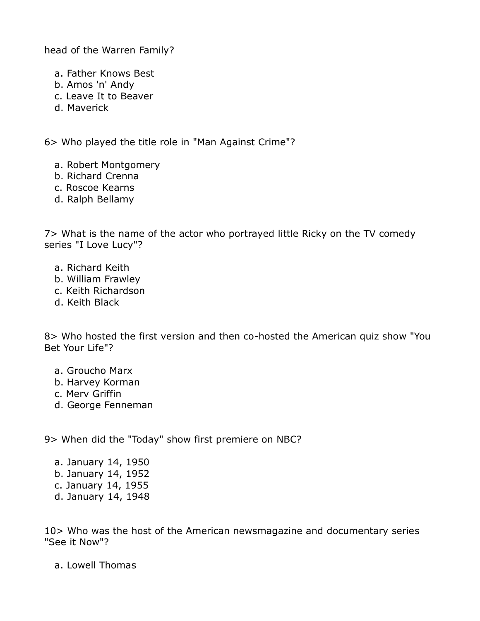head of the Warren Family?

a. Father Knows Best

- b. Amos 'n' Andy
- c. Leave It to Beaver
- d. Maverick

6> Who played the title role in "Man Against Crime"?

- a. Robert Montgomery
- b. Richard Crenna
- c. Roscoe Kearns
- d. Ralph Bellamy

7> What is the name of the actor who portrayed little Ricky on the TV comedy series "I Love Lucy"?

- a. Richard Keith
- b. William Frawley
- c. Keith Richardson
- d. Keith Black

8> Who hosted the first version and then co-hosted the American quiz show "You Bet Your Life"?

- a. Groucho Marx
- b. Harvey Korman
- c. Merv Griffin
- d. George Fenneman

9> When did the "Today" show first premiere on NBC?

 a. January 14, 1950 b. January 14, 1952 c. January 14, 1955 d. January 14, 1948

10> Who was the host of the American newsmagazine and documentary series "See it Now"?

a. Lowell Thomas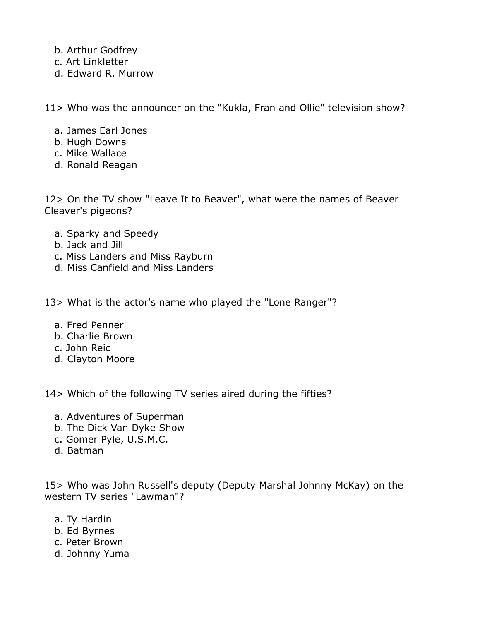- b. Arthur Godfrey
- c. Art Linkletter
- d. Edward R. Murrow

11> Who was the announcer on the "Kukla, Fran and Ollie" television show?

- a. James Earl Jones
- b. Hugh Downs
- c. Mike Wallace
- d. Ronald Reagan

12> On the TV show "Leave It to Beaver", what were the names of Beaver Cleaver's pigeons?

- a. Sparky and Speedy
- b. Jack and Jill
- c. Miss Landers and Miss Rayburn
- d. Miss Canfield and Miss Landers

13> What is the actor's name who played the "Lone Ranger"?

- a. Fred Penner
- b. Charlie Brown
- c. John Reid
- d. Clayton Moore

14> Which of the following TV series aired during the fifties?

- a. Adventures of Superman
- b. The Dick Van Dyke Show
- c. Gomer Pyle, U.S.M.C.
- d. Batman

15> Who was John Russell's deputy (Deputy Marshal Johnny McKay) on the western TV series "Lawman"?

- a. Ty Hardin
- b. Ed Byrnes
- c. Peter Brown
- d. Johnny Yuma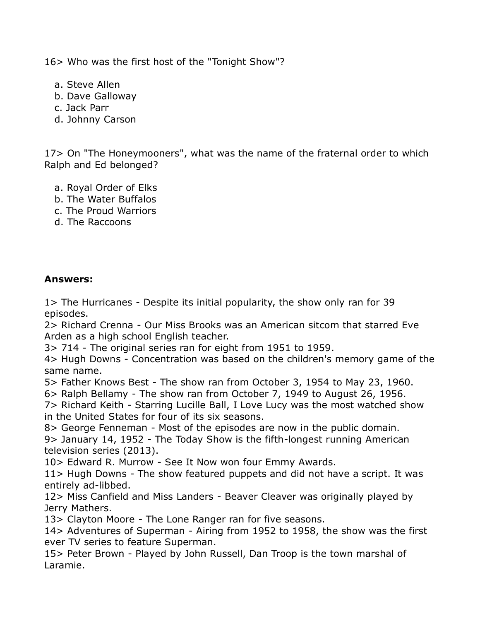16> Who was the first host of the "Tonight Show"?

- a. Steve Allen
- b. Dave Galloway
- c. Jack Parr
- d. Johnny Carson

17> On "The Honeymooners", what was the name of the fraternal order to which Ralph and Ed belonged?

- a. Royal Order of Elks
- b. The Water Buffalos
- c. The Proud Warriors
- d. The Raccoons

## **Answers:**

1> The Hurricanes - Despite its initial popularity, the show only ran for 39 episodes.

2> Richard Crenna - Our Miss Brooks was an American sitcom that starred Eve Arden as a high school English teacher.

3> 714 - The original series ran for eight from 1951 to 1959.

4> Hugh Downs - Concentration was based on the children's memory game of the same name.

5> Father Knows Best - The show ran from October 3, 1954 to May 23, 1960.

6> Ralph Bellamy - The show ran from October 7, 1949 to August 26, 1956.

7> Richard Keith - Starring Lucille Ball, I Love Lucy was the most watched show in the United States for four of its six seasons.

8> George Fenneman - Most of the episodes are now in the public domain.

9> January 14, 1952 - The Today Show is the fifth-longest running American television series (2013).

10> Edward R. Murrow - See It Now won four Emmy Awards.

11> Hugh Downs - The show featured puppets and did not have a script. It was entirely ad-libbed.

12> Miss Canfield and Miss Landers - Beaver Cleaver was originally played by Jerry Mathers.

13> Clayton Moore - The Lone Ranger ran for five seasons.

14> Adventures of Superman - Airing from 1952 to 1958, the show was the first ever TV series to feature Superman.

15> Peter Brown - Played by John Russell, Dan Troop is the town marshal of Laramie.